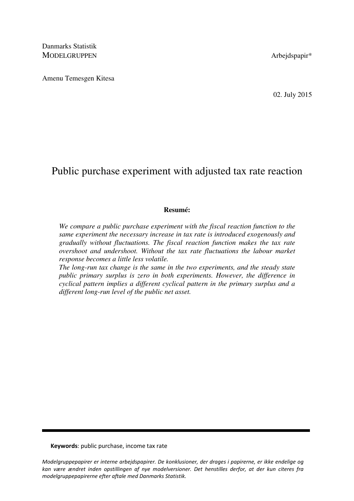Danmarks Statistik MODELGRUPPEN Arbeidspapir\*

Amenu Temesgen Kitesa

02. July 2015

# Public purchase experiment with adjusted tax rate reaction

## **Resumé:**

*We compare a public purchase experiment with the fiscal reaction function to the same experiment the necessary increase in tax rate is introduced exogenously and gradually without fluctuations. The fiscal reaction function makes the tax rate overshoot and undershoot. Without the tax rate fluctuations the labour market response becomes a little less volatile.* 

*The long-run tax change is the same in the two experiments, and the steady state public primary surplus is zero in both experiments. However, the difference in cyclical pattern implies a different cyclical pattern in the primary surplus and a different long-run level of the public net asset.* 

Keywords: public purchase, income tax rate

Modelgruppepapirer er interne arbejdspapirer. De konklusioner, der drages i papirerne, er ikke endelige og kan være ændret inden opstillingen af nye modelversioner. Det henstilles derfor, at der kun citeres fra modelgruppepapirerne efter aftale med Danmarks Statistik.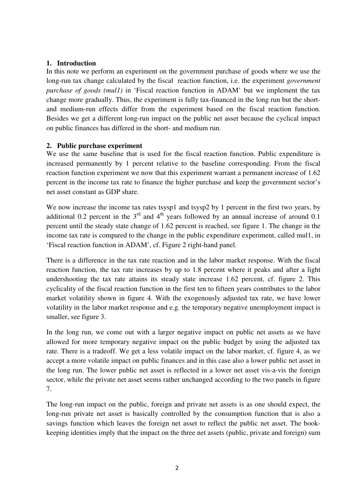# **1. Introduction**

In this note we perform an experiment on the government purchase of goods where we use the long-run tax change calculated by the fiscal reaction function, i.e. the experiment *government purchase of goods (mul1)* in 'Fiscal reaction function in ADAM' but we implement the tax change more gradually. Thus, the experiment is fully tax-financed in the long run but the shortand medium-run effects differ from the experiment based on the fiscal reaction function. Besides we get a different long-run impact on the public net asset because the cyclical impact on public finances has differed in the short- and medium run.

# **2. Public purchase experiment**

We use the same baseline that is used for the fiscal reaction function. Public expenditure is increased permanently by 1 percent relative to the baseline corresponding. From the fiscal reaction function experiment we now that this experiment warrant a permanent increase of 1.62 percent in the income tax rate to finance the higher purchase and keep the government sector's net asset constant as GDP share.

We now increase the income tax rates tsysp1 and tsysp2 by 1 percent in the first two years, by additional 0.2 percent in the  $3<sup>rd</sup>$  and  $4<sup>th</sup>$  years followed by an annual increase of around 0.1 percent until the steady state change of 1.62 percent is reached, see figure 1. The change in the income tax rate is compared to the change in the public expenditure experiment, called mul1, in 'Fiscal reaction function in ADAM', cf. Figure 2 right-hand panel.

There is a difference in the tax rate reaction and in the labor market response. With the fiscal reaction function, the tax rate increases by up to 1.8 percent where it peaks and after a light undershooting the tax rate attains its steady state increase 1.62 percent, cf. figure 2. This cyclicality of the fiscal reaction function in the first ten to fifteen years contributes to the labor market volatility shown in figure 4. With the exogenously adjusted tax rate, we have lower volatility in the labor market response and e.g. the temporary negative unemployment impact is smaller, see figure 3.

In the long run, we come out with a larger negative impact on public net assets as we have allowed for more temporary negative impact on the public budget by using the adjusted tax rate. There is a tradeoff. We get a less volatile impact on the labor market, cf. figure 4, as we accept a more volatile impact on public finances and in this case also a lower public net asset in the long run. The lower public net asset is reflected in a lower net asset vis-a-vis the foreign sector, while the private net asset seems rather unchanged according to the two panels in figure 7.

The long-run impact on the public, foreign and private net assets is as one should expect, the long-run private net asset is basically controlled by the consumption function that is also a savings function which leaves the foreign net asset to reflect the public net asset. The bookkeeping identities imply that the impact on the three net assets (public, private and foreign) sum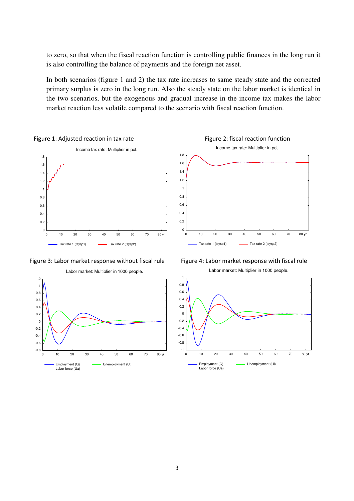to zero, so that when the fiscal reaction function is controlling public finances in the long run it is also controlling the balance of payments and the foreign net asset.

In both scenarios (figure 1 and 2) the tax rate increases to same steady state and the corrected primary surplus is zero in the long run. Also the steady state on the labor market is identical in the two scenarios, but the exogenous and gradual increase in the income tax makes the labor market reaction less volatile compared to the scenario with fiscal reaction function.







Figure 3: Labor market response without fiscal rule Figure 4: Labor market response with fiscal rule Labor market: Multiplier in 1000 people.